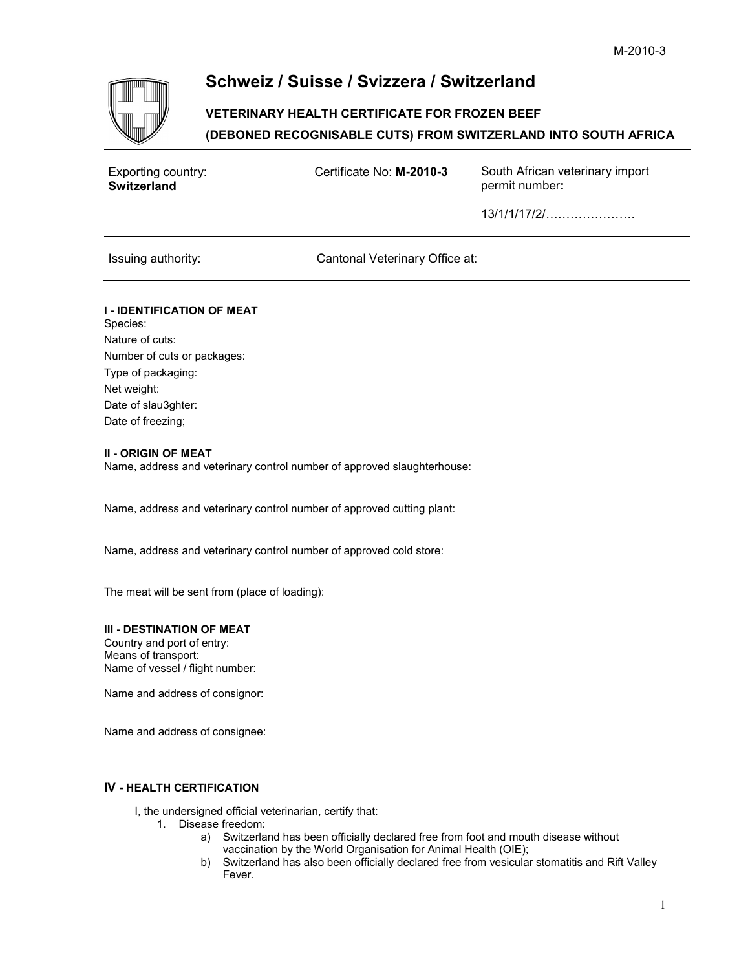# **Schweiz / Suisse / Svizzera / Switzerland**

## **VETERINARY HEALTH CERTIFICATE FOR FROZEN BEEF (DEBONED RECOGNISABLE CUTS) FROM SWITZERLAND INTO SOUTH AFRICA**

| Exporting country:<br><b>Switzerland</b> | Certificate No: M-2010-3 | South African veterinary import<br>permit number: |
|------------------------------------------|--------------------------|---------------------------------------------------|
|                                          |                          |                                                   |
|                                          |                          |                                                   |

Issuing authority: Cantonal Veterinary Office at:

### **I - IDENTIFICATION OF MEAT** Species: Nature of cuts:

Number of cuts or packages: Type of packaging: Net weight: Date of slau3ghter: Date of freezing;

### **II - ORIGIN OF MEAT**

Name, address and veterinary control number of approved slaughterhouse:

Name, address and veterinary control number of approved cutting plant:

Name, address and veterinary control number of approved cold store:

The meat will be sent from (place of loading):

#### **III - DESTINATION OF MEAT**

Country and port of entry: Means of transport: Name of vessel / flight number:

Name and address of consignor:

Name and address of consignee:

#### **IV - HEALTH CERTIFICATION**

I, the undersigned official veterinarian, certify that:

- 1. Disease freedom:
	- a) Switzerland has been officially declared free from foot and mouth disease without vaccination by the World Organisation for Animal Health (OIE);
	- b) Switzerland has also been officially declared free from vesicular stomatitis and Rift Valley Fever.